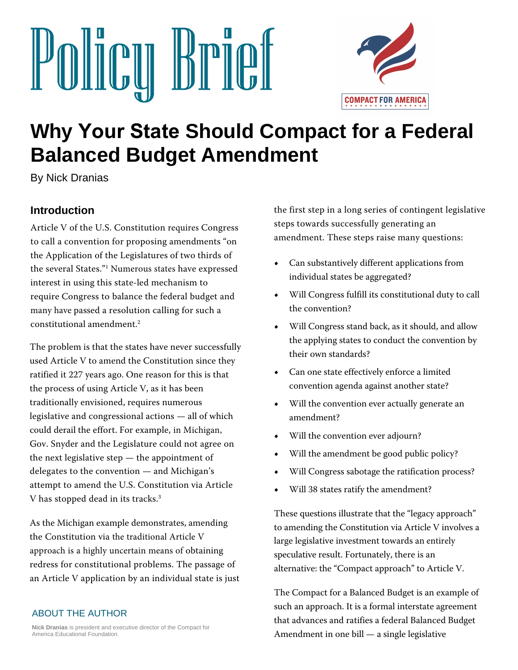



# **Why Your State Should Compact for a Federal Balanced Budget Amendment**

By Nick Dranias

# **Introduction**

Article V of the U.S. Constitution requires Congress to call a convention for proposing amendments "on the Application of the Legislatures of two thirds of the several States."<sup>1</sup> Numerous stat[es](#page-11-0) have expressed interest in using this state-led mechanism to require Congress to balance the federal budget and many have passed a resolution calling for such a constitutional amendment. 2

The problem is that the states have never successfully used Article V to amend the Constitution since they ratified it 227 years ago. One reason for this is that the process of using Article V, as it has been traditionally envisioned, requires numerous legislative and congressional actions — all of which could derail the effort. For example, in Michigan, Gov. Snyder and the Legislature could not agree on the next legislative step — the appointment of delegates to the convention — and Michigan's attempt to amend the U.S. Constitution via Article V has stopped dead in its tracks.<sup>3</sup>

As the Michigan example demonstrates, amending the Constitution via the traditional Article V approach is a highly uncertain means of obtaining redress for constitutional problems. The passage of an Article V application by an individual state is just

#### ABOUT THE AUTHOR

**Nick Dranias** is president and executive director of the Compact for America Educational Foundation.

the first step in a long series of contingent legislative steps towards successfully generating an amendment. These steps raise many questions:

- **•** Can substantively different applications from individual states be aggregated?
- **•** Will Congress fulfill its constitutional duty to call the convention?
- **•** Will Congress stand back, as it should, and allow the applying states to conduct the convention by their own standards?
- **•** Can one state effectively enforce a limited convention agenda against another state?
- **•** Will the convention ever actually generate an amendment?
- **•** Will the convention ever adjourn?
- **•** Will the amendment be good public policy?
- **•** Will Congress sabotage the ratification process?
- **•** Will 38 states ratify the amendment?

These questions illustrate that the "legacy approach" to amending the Constitution via Article V involves a large legislative investment towards an entirely speculative result. Fortunately, there is an alternative: the "Compact approach" to Article V.

The Compact for a Balanced Budget is an example of such an approach. It is a formal interstate agreement that advances and ratifies a federal Balanced Budget Amendment in one bill — a single legislative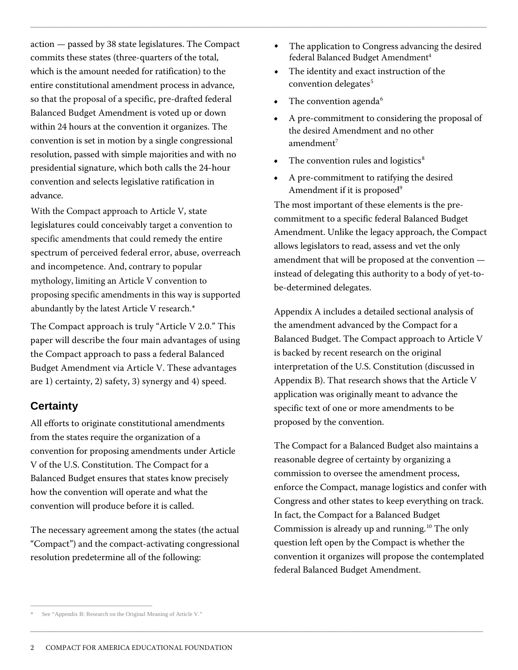action — passed by 38 state legislatures. The Compact commits these states (three-quarters of the total, which is the amount needed for ratification) to the entire constitutional amendment process in advance, so that the proposal of a specific, pre-drafted federal Balanced Budget Amendment is voted up or down within 24 hours at the convention it organizes. The convention is set in motion by a single congressional resolution, passed with simple majorities and with no presidential signature, which both calls the 24-hour convention and selects legislative ratification in advance.

With the Compact approach to Article V, state legislatures could conceivably target a convention to specific amen[d](#page-1-0)ments that could remedy the entire spectrum of perceived federal error, abuse, overreach and incompetence. And, contrary to popular mythology, limiting an Article V convention to proposing specific amendments in this way is supported abundantly by the latest Article V research.\*

The Compact approach is truly "Article V 2.0." This paper will describe the four main advantages of using the Compact approach to pass a federal Balanced Budget Amendment via Article V. These advantages are 1) certainty, 2) safety, 3) synergy and 4) speed.

# **Certainty**

All efforts to originate constitutional amendments from the states require the organization of a convention for proposing amendments under Article V of the U.S. Constitution. The Compact for a Balanced Budget ensures that states know precisely how the convention will operate and what the convention will produce before it is called.

The necessary agreement among the states (the actual "Compact") and the compact-activating congressional resolution predetermine all of the following:

- **•** The application to Congress advancing the desired federal Balanced Budget Amendment<sup>4</sup>
- **•** The identity and exact instruction of the convention delegates<sup>5</sup>
- The convention agenda<sup>6</sup>

 $\Box$  . The contribution of the contribution of the contribution of the contribution of the contribution of the contribution of the contribution of the contribution of the contribution of the contribution of the contributi

\_\_\_\_\_\_\_\_\_\_\_\_\_\_\_\_\_\_\_\_\_\_\_\_\_\_\_\_\_\_\_\_\_\_\_\_\_\_\_\_\_\_\_\_\_\_\_\_\_\_\_\_\_\_\_\_\_\_\_\_\_\_\_\_\_\_\_\_\_\_\_\_\_\_\_\_\_\_\_\_\_\_\_\_\_\_\_\_\_\_\_\_\_\_\_\_\_

- **•** A pre-commitment to considering the proposal of the desired Amendment and no other amendment<sup>7</sup>
- The convention rules and logistics<sup>8</sup>
- **•** A pre-commitment to ratifying the desired Amendment if it is proposed<sup>9</sup>

The most important of these elements is the precommitment to a specific federal Balanced Budget Amendment. Unlike the legacy approach, the Compact allows legislators to read, assess and vet the only amendment that will be proposed at the convention instead of delegating this authority to a body of yet-tobe-determined delegates.

Appendix A includes a detailed sectional analysis of the amendment advanced by the Compact for a Balanced Budget. The Compact approach to Article V is backed by recent research on the original interpretation of the U.S. Constitution (discussed in Appendix B). That research shows that the Article V application was originally meant to advance the specific text of one or more amendments to be proposed by the convention.

The Compact for a Balanced Budget also maintains a reasonable degree of certainty by organizing a commission to oversee the amendment process, enforce the Compact, manage logistics and confer with Congress and other states to keep everything on track. In fact, the Compact for a Balanced Budget Commission is already up and running. <sup>10</sup> The only question left open by the Compact is whether the convention it organizes will propose the contemplated federal Balanced Budget Amendment.

<span id="page-1-0"></span>See "Appendix B: Research on the Original Meaning of Article V."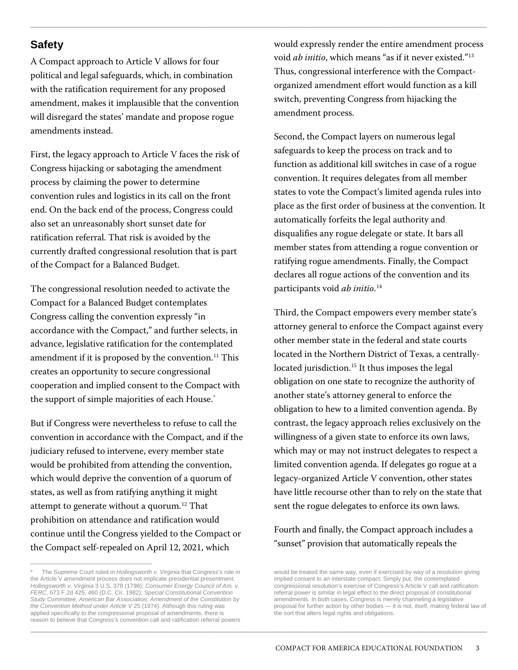# **Safety**

A Compact approach to Article V allows for four political and legal safeguards, which, in combination with the ratification requirement for any proposed amendment, makes it implausible that the convention will disregard the states' mandate and propose rogue amendments instead.

First, the legacy approach to Article V faces the risk of Congress hijacking or sabotaging the amendment process by claiming the power to determine convention rules and logistics in its call on the front end. On the back end of the process, Congress could also set an unreasonably short sunset date for ratification referral. That risk is avoided by the currently drafted congressional resolution that is part of the Compact for a Balanced Budget.

The congressional resolution needed to activate the Compact for a Balanced Budget contemplates Congress calling the convention expressly "in accordance with the Compact," and further selects, in advance, legislative ratification for the contemplated amendment if it is proposed by the convention.<sup>11</sup> This creates an opportunity to secure congressional cooperation and implied consent to the Compact with the support of simple majorities of each House.[\\*](#page-2-0)

But if Congress were nevertheless to refuse to call the convention in accordance with the Compact, and if the judiciary refused to intervene, every member state would be prohibited from attending the convention, which would deprive the convention of a quorum of states, as well as from ratifying anything it might attempt to generate without a quorum.<sup>12</sup> That prohibition on attendance and ratification would continue until the Congress yielded to the Compact or the Compact self-repealed on April 12, 2021, which

would expressly render the entire amendment process void *ab initio*, which means "as if it never existed."13 Thus, congressional interference with the Compactorganized amendment effort would function as a kill switch, preventing Congress from hijacking the amendment process.

 $\Box$  . The contribution of the contribution of the contribution of the contribution of the contribution of the contribution of the contribution of the contribution of the contribution of the contribution of the contributi

 $\_$  ,  $\_$  ,  $\_$  ,  $\_$  ,  $\_$  ,  $\_$  ,  $\_$  ,  $\_$  ,  $\_$  ,  $\_$  ,  $\_$  ,  $\_$  ,  $\_$  ,  $\_$  ,  $\_$  ,  $\_$  ,  $\_$  ,  $\_$  ,  $\_$  ,  $\_$  ,  $\_$  ,  $\_$  ,  $\_$  ,  $\_$  ,  $\_$  ,  $\_$  ,  $\_$  ,  $\_$  ,  $\_$  ,  $\_$  ,  $\_$  ,  $\_$  ,  $\_$  ,  $\_$  ,  $\_$  ,  $\_$  ,  $\_$  ,

Second, the Compact layers on numerous legal safeguards to keep the process on track and to function as additional kill switches in case of a rogue convention. It requires delegates from all member states to vote the Compact's limited agenda rules into place as the first order of business at the convention. It automatically forfeits the legal authority and disqualifies any rogue delegate or state. It bars all member states from attending a rogue convention or ratifying rogue amendments. Finally, the Compact declares all rogue actions of the convention and its participants void *ab initio*. 14

Third, the Compact empowers every member state's attorney general to enforce the Compact against every other member state in the federal and state courts located in the Northern District of Texas, a centrallylocated jurisdiction.<sup>15</sup> It thus imposes the legal obligation on one state to recognize the authority of another state's attorney general to enforce the obligation to hew to a limited convention agenda. By contrast, the legacy approach relies exclusively on the willingness of a given state to enforce its own laws, which may or may not instruct delegates to respect a limited convention agenda. If delegates go rogue at a legacy-organized Article V convention, other states have little recourse other than to rely on the state that sent the rogue delegates to enforce its own laws.

#### Fourth and finally, the Compact approach includes a "sunset" provision that automatically repeals the

<span id="page-2-0"></span>The Supreme Court ruled in *Hollingsworth v. Virginia* that Congress's role in the Article V amendment process does not implicate presidential presentment. *Hollingsworth v. Virginia* 3 U.S. 378 (1798); *Consumer Energy Council of Am. v. FERC*, 673 F.2d 425, 460 (D.C. Cir. 1982); *Special Constitutional Convention Study Committee, American Bar Association, Amendment of the Constitution by the Convention Method under Article V* 25 (1974). Although this ruling was applied specifically to the congressional proposal of amendments, there is reason to believe that Congress's convention call and ratification referral powers

would be treated the same way, even if exercised by way of a resolution giving implied consent to an interstate compact. Simply put, the contemplated congressional resolution's exercise of Congress's Article V call and ratification referral power is similar in legal effect to the direct proposal of constitutional amendments. In both cases, Congress is merely channeling a legislative proposal for further action by other bodies — it is not, itself, making federal law of the sort that alters legal rights and obligations.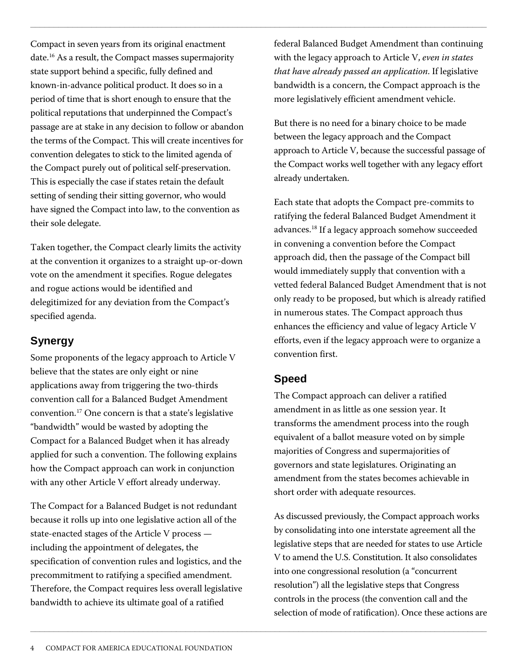Compact in seven years from its original enactment date.16 As a result, the Compact masses supermajority state support behind a specific, fully defined and known-in-advance political product. It does so in a period of time that is short enough to ensure that the political reputations that underpinned the Compact's passage are at stake in any decision to follow or abandon the terms of the Compact. This will create incentives for convention delegates to stick to the limited agenda of the Compact purely out of political self-preservation. This is especially the case if states retain the default setting of sending their sitting governor, who would have signed the Compact into law, to the convention as their sole delegate.

Taken together, the Compact clearly limits the activity at the convention it organizes to a straight up-or-down vote on the amendment it specifies. Rogue delegates and rogue actions would be identified and delegitimized for any deviation from the Compact's specified agenda.

# **Synergy**

Some proponents of the legacy approach to Article V believe that the states are only eight or nine applications away from triggering the two-thirds convention call for a Balanced Budget Amendment convention.17 One concern is that a state's legislative "bandwidth" would be wasted by adopting the Compact for a Balanced Budget when it has already applied for such a convention. The following explains how the Compact approach can work in conjunction with any other Article V effort already underway.

The Compact for a Balanced Budget is not redundant because it rolls up into one legislative action all of the state-enacted stages of the Article V process including the appointment of delegates, the specification of convention rules and logistics, and the precommitment to ratifying a specified amendment. Therefore, the Compact requires less overall legislative bandwidth to achieve its ultimate goal of a ratified

federal Balanced Budget Amendment than continuing with the legacy approach to Article V, *even in states that have already passed an application*. If legislative bandwidth is a concern, the Compact approach is the more legislatively efficient amendment vehicle.

But there is no need for a binary choice to be made between the legacy approach and the Compact approach to Article V, because the successful passage of the Compact works well together with any legacy effort already undertaken.

Each state that adopts the Compact pre-commits to ratifying the federal Balanced Budget Amendment it advances.18 If a legacy approach somehow succeeded in convening a convention before the Compact approach did, then the passage of the Compact bill would immediately supply that convention with a vetted federal Balanced Budget Amendment that is not only ready to be proposed, but which is already ratified in numerous states. The Compact approach thus enhances the efficiency and value of legacy Article V efforts, even if the legacy approach were to organize a convention first.

# **Speed**

 $\Box$  . The contribution of the contribution of the contribution of the contribution of the contribution of the contribution of the contribution of the contribution of the contribution of the contribution of the contributi

 $\Box$  . The contribution of the contribution of the contribution of the contribution of the contribution of the contribution of the contribution of the contribution of the contribution of the contribution of the contributi

The Compact approach can deliver a ratified amendment in as little as one session year. It transforms the amendment process into the rough equivalent of a ballot measure voted on by simple majorities of Congress and supermajorities of governors and state legislatures. Originating an amendment from the states becomes achievable in short order with adequate resources.

As discussed previously, the Compact approach works by consolidating into one interstate agreement all the legislative steps that are needed for states to use Article V to amend the U.S. Constitution. It also consolidates into one congressional resolution (a "concurrent resolution") all the legislative steps that Congress controls in the process (the convention call and the selection of mode of ratification). Once these actions are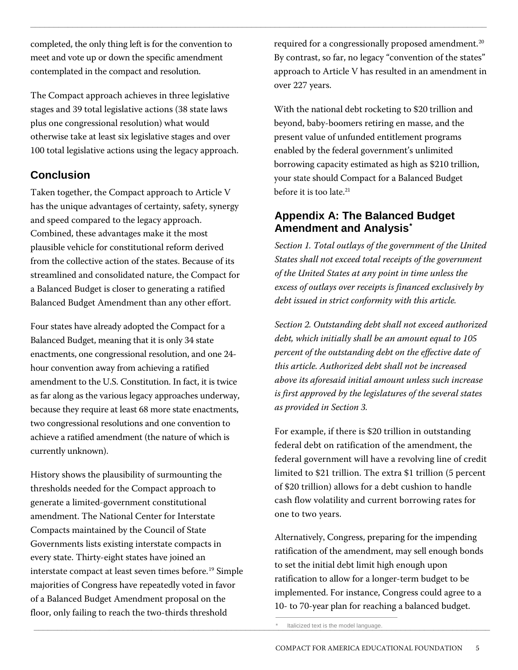completed, the only thing left is for the convention to meet and vote up or down the specific amendment contemplated in the compact and resolution.

The Compact approach achieves in three legislative stages and 39 total legislative actions (38 state laws plus one congressional resolution) what would otherwise take at least six legislative stages and over 100 total legislative actions using the legacy approach.

#### **Conclusion**

Taken together, the Compact approach to Article V has the unique advantages of certainty, safety, synergy and speed compared to the legacy approach. Combined, these advantages make it the most plausible vehicle for constitutional reform derived from the collective action of the states. Because of its streamlined and consolidated nature, the Compact for a Balanced Budget is closer to generating a ratified Balanced Budget Amendment than any other effort.

Four states have already adopted the Compact for a Balanced Budget, meaning that it is only 34 state enactments, one congressional resolution, and one 24 hour convention away from achieving a ratified amendment to the U.S. Constitution. In fact, it is twice as far along as the various legacy approaches underway, because they require at least 68 more state enactments, two congressional resolutions and one convention to achieve a ratified amendment (the nature of which is currently unknown).

History shows the plausibility of surmounting the thresholds needed for the Compact approach to generate a limited-government constitutional amendment. The National Center for Interstate Compacts maintained by the Council of State Governments lists existing interstate compacts in every state. Thirty-eight states have joined an interstate compact at least seven times before.19 Simple majorities of Congress have repeatedly voted in favor of a Balanced Budget Amendment proposal on the floor, only failing to reach the two-thirds threshold

required for a congressionally proposed amendment.<sup>20</sup> By contrast, so far, no legacy "convention of the states" approach to Article V has resulted in an amendment in over 227 years.

 $\Box$  . The contribution of the contribution of the contribution of the contribution of the contribution of the contribution of the contribution of the contribution of the contribution of the contribution of the contributi

With the national debt rocketing to \$20 trillion and beyond, baby-boomers retiring en masse, and the present value of unfunded entitlement programs enabled by the federal government's unlimited borrowing capacity estimated as high as \$210 trillion, your state should Compact for a Balanced Budget before it is too late.<sup>21</sup>

# **Appendix A: The Balanced Budget Amendment and Analysis\***

*Section 1. Total outlays of the government of the United States shall not exceed total receipts of the government of the United States at any point in time unless the excess of outlays over receipts is financed exclusively by debt issued in strict conformity with this article.*

*Section 2. Outstanding debt shall not exceed authorized debt, which initially shall be an amount equal to 105 percent of the outstanding debt on the effective date of this article. Authorized debt shall not be increased above its aforesaid initial amount unless such increase is first approved by the legislatures of the several states as provided in Section 3.*

For example, if there is \$20 trillion in outstanding federal debt on ratification of the amendment, the federal government will have a revolving line of credit limited to \$21 trillion. The extra \$1 trillion (5 percent of \$20 trillion) allows for a debt cushion to handle cash flow volatility and current borrowing rates for one to two years.

Alternatively, Congress, preparing for the impending ratification of the amendment, may sell enough bonds to set the initial debt limit high enough upon ratification to allow for a longer-term budget to be implemented. For instance, Congress could agree to a 10- to 70-year plan for reaching a balanced budget.

\_\_\_\_\_\_\_\_\_\_\_\_\_\_\_\_\_\_\_\_\_\_\_\_\_\_\_\_\_\_\_\_\_\_\_\_\_\_\_\_\_\_\_\_\_\_\_\_\_\_\_\_\_\_\_\_\_\_\_\_\_\_\_\_\_\_\_\_\_\_\_\_\_\_\_\_\_\_\_\_\_\_\_\_\_\_\_\_\_\_\_\_\_\_\_\_\_ \* Italicized text is the model language.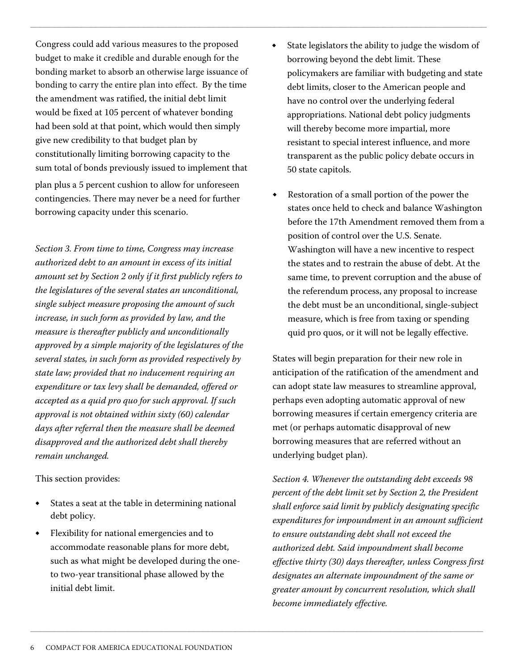Congress could add various measures to the proposed budget to make it credible and du[ra](#page-5-0)ble enough for the bonding market to absorb an otherwise large issuance of bonding to carry the entire plan into effect. By the time the amendment was ratified, the initial debt limit would be fixed at 105 percent of whatever bonding had been sold at that point, which would then simply give new credibility to that budget plan by constitutionally limiting borrowing capacity to the sum total of bonds previously issued to implement that plan plus a 5 percent cushion to allow for unforeseen contingencies. There may never be a need for further borrowing capacity under this scenario.

*Section 3. From time to time, Congress may increase authorized debt to an amount in excess of its initial amount set by Section 2 only if it first publicly refers to the legislatures of the several states an unconditional, single subject measure proposing the amount of such increase, in such form as provided by law, and the measure is thereafter publicly and unconditionally approved by a simple majority of the legislatures of the several states, in such form as provided respectively by state law; provided that no inducement requiring an expenditure or tax levy shall be demanded, offered or accepted as a quid pro quo for such approval. If such approval is not obtained within sixty (60) calendar days after referral then the measure shall be deemed disapproved and the authorized debt shall thereby remain unchanged.*

This section provides:

- States a seat at the table in determining national debt policy.
- Flexibility for national emergencies and to accommodate reasonable plans for more debt, such as what might be developed during the oneto two-year transitional phase allowed by the initial debt limit.

State legislators the ability to judge the wisdom of borrowing beyond the debt limit. These policymakers are familiar with budgeting and state debt limits, closer to the American people and have no control over the underlying federal appropriations. National debt policy judgments will thereby become more impartial, more resistant to special interest influence, and more transparent as the public policy debate occurs in 50 state capitols.

 $\Box$  . The contribution of the contribution of the contribution of the contribution of the contribution of the contribution of the contribution of the contribution of the contribution of the contribution of the contributi

<span id="page-5-0"></span>\_\_\_\_\_\_\_\_\_\_\_\_\_\_\_\_\_\_\_\_\_\_\_\_\_\_\_\_\_\_\_\_\_\_\_\_\_\_\_\_\_\_\_\_\_\_\_\_\_\_\_\_\_\_\_\_\_\_\_\_\_\_\_\_\_\_\_\_\_\_\_\_\_\_\_\_\_\_\_\_\_\_\_\_\_\_\_\_\_\_\_\_\_\_\_\_\_

Restoration of a small portion of the power the states once held to check and balance Washington before the 17th Amendment removed them from a position of control over the U.S. Senate. Washington will have a new incentive to respect the states and to restrain the abuse of debt. At the same time, to prevent corruption and the abuse of the referendum process, any proposal to increase the debt must be an unconditional, single-subject measure, which is free from taxing or spending quid pro quos, or it will not be legally effective.

States will begin preparation for their new role in anticipation of the ratification of the amendment and can adopt state law measures to streamline approval, perhaps even adopting automatic approval of new borrowing measures if certain emergency criteria are met (or perhaps automatic disapproval of new borrowing measures that are referred without an underlying budget plan).

*Section 4. Whenever the outstanding debt exceeds 98 percent of the debt limit set by Section 2, the President shall enforce said limit by publicly designating specific expenditures for impoundment in an amount sufficient to ensure outstanding debt shall not exceed the authorized debt. Said impoundment shall become effective thirty (30) days thereafter, unless Congress first designates an alternate impoundment of the same or greater amount by concurrent resolution, which shall become immediately effective.*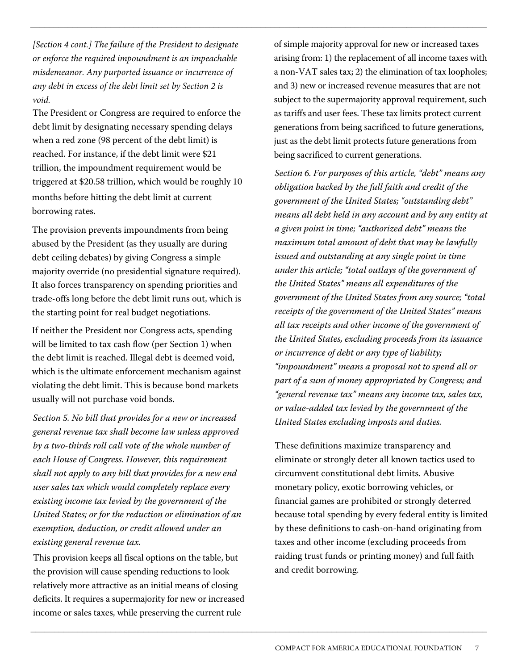*[Section 4 cont.] The failure of the President to designate or enforce the required impoundment is an impeachable misdemeanor. Any purported issuance or incurrence of any debt in excess of the debt limit set by Section 2 is void.* 

 $\Box$  . The contribution of the contribution of the contribution of the contribution of the contribution of the contribution of the contribution of the contribution of the contribution of the contribution of the contributi

 $\_$  ,  $\_$  ,  $\_$  ,  $\_$  ,  $\_$  ,  $\_$  ,  $\_$  ,  $\_$  ,  $\_$  ,  $\_$  ,  $\_$  ,  $\_$  ,  $\_$  ,  $\_$  ,  $\_$  ,  $\_$  ,  $\_$  ,  $\_$  ,  $\_$  ,  $\_$  ,  $\_$  ,  $\_$  ,  $\_$  ,  $\_$  ,  $\_$  ,  $\_$  ,  $\_$  ,  $\_$  ,  $\_$  ,  $\_$  ,  $\_$  ,  $\_$  ,  $\_$  ,  $\_$  ,  $\_$  ,  $\_$  ,  $\_$  ,

The President or Congress are required to enforce the debt limit by designating necessary spending delays when a red zone (98 percent of the debt limit) is reached. For instance, if the debt limit were \$21 trillion, the impoundment requirement would be triggered at \$20.58 trillion, which would be roughly 10 months before hitting the debt limit at current borrowing rates.

The provision prevents impoundments from being abused by the President (as they usually are during debt ceiling debates) by giving Congress a simple majority override (no presidential signature required). It also forces transparency on spending priorities and trade-offs long before the debt limit runs out, which is the starting point for real budget negotiations.

If neither the President nor Congress acts, spending will be limited to tax cash flow (per Section 1) when the debt limit is reached. Illegal debt is deemed void, which is the ultimate enforcement mechanism against violating the debt limit. This is because bond markets usually will not purchase void bonds.

*Section 5. No bill that provides for a new or increased general revenue tax shall become law unless approved by a two-thirds roll call vote of the whole number of each House of Congress. However, this requirement shall not apply to any bill that provides for a new end user sales tax which would completely replace every existing income tax levied by the government of the United States; or for the reduction or elimination of an exemption, deduction, or credit allowed under an existing general revenue tax.*

This provision keeps all fiscal options on the table, but the provision will cause spending reductions to look relatively more attractive as an initial means of closing deficits. It requires a supermajority for new or increased income or sales taxes, while preserving the current rule

of simple majority approval for new or increased taxes arising from: 1) the replacement of all income taxes with a non-VAT sales tax; 2) the elimination of tax loopholes; and 3) new or increased revenue measures that are not subject to the supermajority approval requirement, such as tariffs and user fees. These tax limits protect current generations from being sacrificed to future generations, just as the debt limit protects future generations from being sacrificed to current generations.

*Section 6. For purposes of this article, "debt" means any obligation backed by the full faith and credit of the government of the United States; "outstanding debt" means all debt held in any account and by any entity at a given point in time; "authorized debt" means the maximum total amount of debt that may be lawfully issued and outstanding at any single point in time under this article; "total outlays of the government of the United States" means all expenditures of the government of the United States from any source; "total receipts of the government of the United States" means all tax receipts and other income of the government of the United States, excluding proceeds from its issuance or incurrence of debt or any type of liability; "impoundment" means a proposal not to spend all or part of a sum of money appropriated by Congress; and "general revenue tax" means any income tax, sales tax, or value-added tax levied by the government of the United States excluding imposts and duties.*

These definitions maximize transparency and eliminate or strongly deter all known tactics used to circumvent constitutional debt limits. Abusive monetary policy, exotic borrowing vehicles, or financial games are prohibited or strongly deterred because total spending by every federal entity is limited by these definitions to cash-on-hand originating from taxes and other income (excluding proceeds from raiding trust funds or printing money) and full faith and credit borrowing.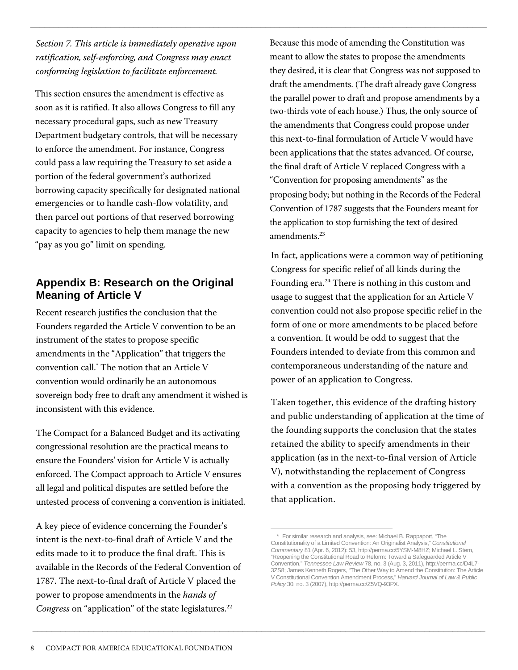*Section 7. This article is immediately operative upon ratification, self-enforcing, and Congress may enact conforming legislation to facilitate enforcement.*

 $\Box$  . The contribution of the contribution of the contribution of the contribution of the contribution of the contribution of the contribution of the contribution of the contribution of the contribution of the contributi

\_\_\_\_\_\_\_\_\_\_\_\_\_\_\_\_\_\_\_\_\_\_\_\_\_\_\_\_\_\_\_\_\_\_\_\_\_\_\_\_\_\_\_\_\_\_\_\_\_\_\_\_\_\_\_\_\_\_\_\_\_\_\_\_\_\_\_\_\_\_\_\_\_\_\_\_\_\_\_\_\_\_\_\_\_\_\_\_\_\_\_\_\_\_\_\_\_

This section ensures the amendment is effective as soon as it is ratified. It also allows Congress to fill any necessary procedural gaps, such as new Treasury Department budgetary controls, that will be necessary to enforce the amendment. For instance, Congress could pass a law requiring the Treasury to set aside a portion of the federal government's authorized borrowing capacity specifically for designated national emergencies or to handle cash-flow volatility, and then parcel out portions of that reserved borrowing capacity to agencies to help them manage the new "pay as you go" limit on spending.

#### **Appendix B: Research on the Original Meaning of Article V**

Recent research justifies the conclusion that the Founders regarded the Article V convention to be an instrument of the states to propose specific amendments in the "Application" that triggers the convention call.\* The notion that an Article V convention would ordinarily be an autonomous sovereign body free to draft any amendment it wished is inconsistent with this evidence.

The Compact for a Balanced Budget and its activating congressional resolution are the practical means to ensure the Founders' vision for Article V is actually enforced. The Compact approach to Article V ensures all legal and political disputes are settled before the untested process of convening a convention is initiated.

A key piece of evidence concerning the Founder's intent is the next-to-final draft of Article V and the edits made to it to produce the final draft. This is available in the Records of the Federal Convention of 1787. The next-to-final draft of Article V placed the power to propose amendments in the *hands of Congress* on "application" of the state legislatures.<sup>22</sup>

Because this mode of amending the Constitution was meant to allow the states to propose the amendments they desired, it is clear that Congress was not supposed to draft the amendments. (The draft already gave Congress the parallel power to draft and propose amendments by a two-thirds vote of each house.) Thus, the only source of the amendments that Congress could propose under this next-to-final formulation of Article V would have been applications that the states advanced. Of course, the final draft of Article V replaced Congress with a "Convention for proposing amendments" as the proposing body; but nothing in the Records of the Federal Convention of 1787 suggests that the Founders meant for the application to stop furnishing the text of desired amendments.<sup>23</sup>

In fact, applications were a common way of petitioning Congress for specific relief of all kinds during the Founding  $era.^{24}$  There is nothing in this custom and usage to suggest that the application for an Article V convention could not also propose specific relief in the form of one or more amendments to be placed before a convention. It would be odd to suggest that the Founders intended to deviate from this common and contemporaneous understanding of the nature and power of an application to Congress.

Taken together, this evidence of the drafting history and public understanding of application at the time of the founding supports the conclusion that the states retained the ability to specify amendments in their application (as in the next-to-final version of Article V), notwithstanding the replacement of Congress with a convention as the proposing body triggered by that application.

For similar research and analysis, see: Michael B. Rappaport, "The Constitutionality of a Limited Convention: An Originalist Analysis," *Constitutional Commentary* 81 (Apr. 6, 2012): 53, http://perma.cc/5YSM-M8HZ; Michael L. Stern, "Reopening the Constitutional Road to Reform: Toward a Safeguarded Article V Convention," *Tennessee Law Review* 78, no. 3 (Aug. 3, 2011), http://perma.cc/D4L7- 3ZS8; James Kenneth Rogers, "The Other Way to Amend the Constitution: The Article V Constitutional Convention Amendment Process," *Harvard Journal of Law & Public Policy* 30, no. 3 (2007), http://perma.cc/Z5VQ-93PX. \*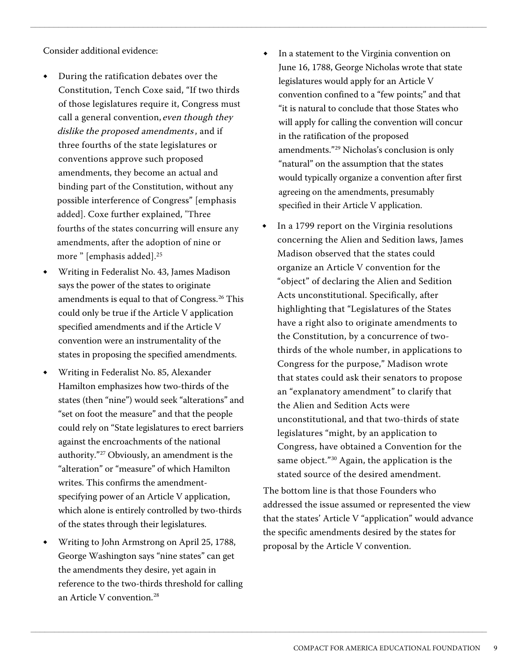Consider additional evidence:

- **◆** During the ratification debates over the Constitution, Tench Coxe said, "If two thirds of those legislatures require it, Congress must call a general convention, even though they dislike t[h](#page-8-0)e proposed amendments, and if three fourths of the state legislatures or conventions approve such proposed amendments, they become an actual and binding part of the Constitution, without any possible interference of Congress" [emphasis added]. Coxe further explained, "Three fourths of the states concurring will ensure any amendments, after the adoption of nine or more " [emphasis added].<sup>25</sup>
- **◆** Writing in Federalist No. 43, James Madison says the power of the states to originate amendments is equal to that of Congress.<sup>26</sup> This could only be true if the Article V application specified amendments and if the Article V convention were an instrumentality of the states in proposing the specified amendments.
- **◆** Writing in Federalist No. 85, Alexander Hamilton emphasizes how two-thirds of the states (then "nine") would seek "alterations" and "set on foot the measure" and that the people could rely on "State legislatures to erect barriers against the encroachments of the national authority."27 Obviously, an amendment is the "alteration" or "measure" of which Hamilton writes. This confirms the amendmentspecifying power of an Article V application, which alone is entirely controlled by two-thirds of the states through their legislatures.
- <span id="page-8-0"></span>**◆** Writing to John Armstrong on April 25, 1788, George Washington says "nine states" can get the amendments they desire, yet again in reference to the two-thirds threshold for calling an Article V convention.<sup>28</sup>

In a statement to the Virginia convention on June 16, 1788, George Nicholas wrote that state legislatures would apply for an Article V convention confined to a "few points;" and that "it is natural to conclude that those States who will apply for calling the convention will concur in the ratification of the proposed amendments."<sup>29</sup> Nicholas's conclusion is only "natural" on the assumption that the states would typically organize a convention after first agreeing on the amendments, presumably specified in their Article V application.

 $\Box$  . The contribution of the contribution of the contribution of the contribution of the contribution of the contribution of the contribution of the contribution of the contribution of the contribution of the contributi

 $\_$  ,  $\_$  ,  $\_$  ,  $\_$  ,  $\_$  ,  $\_$  ,  $\_$  ,  $\_$  ,  $\_$  ,  $\_$  ,  $\_$  ,  $\_$  ,  $\_$  ,  $\_$  ,  $\_$  ,  $\_$  ,  $\_$  ,  $\_$  ,  $\_$  ,  $\_$  ,  $\_$  ,  $\_$  ,  $\_$  ,  $\_$  ,  $\_$  ,  $\_$  ,  $\_$  ,  $\_$  ,  $\_$  ,  $\_$  ,  $\_$  ,  $\_$  ,  $\_$  ,  $\_$  ,  $\_$  ,  $\_$  ,  $\_$  ,

In a 1799 report on the Virginia resolutions concerning the Alien and Sedition laws, James Madison observed that the states could organize an Article V convention for the "object" of declaring the Alien and Sedition Acts unconstitutional. Specifically, after highlighting that "Legislatures of the States have a right also to originate amendments to the Constitution, by a concurrence of twothirds of the whole number, in applications to Congress for the purpose," Madison wrote that states could ask their senators to propose an "explanatory amendment" to clarify that the Alien and Sedition Acts were unconstitutional, and that two-thirds of state legislatures "might, by an application to Congress, have obtained a Convention for the same object."<sup>30</sup> Again, the application is the stated source of the desired amendment.

The bottom line is that those Founders who addressed the issue assumed or represented the view that the states' Article V "application" would advance the specific amendments desired by the states for proposal by the Article V convention.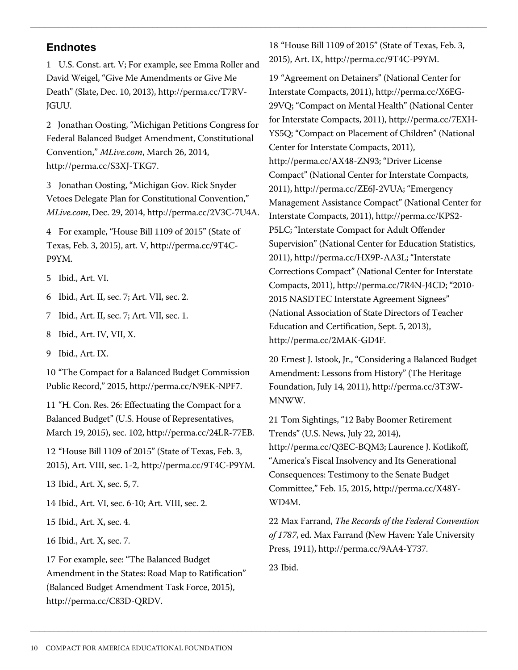1 U.S. Const. art. V; For example, see Emma Roller and David Weigel, "Give Me Amendments or Give Me Death" (Slate, Dec. 10, 2013), http://perma.cc/T7RV-JGUU.

2 Jonathan Oosting, "Michigan Petitions Congress for Federal Balanced Budget Amendment, Constitutional Convention," *MLive.com*, March 26, 2014, http://perma.cc/S3XJ-TKG7.

3 Jonathan Oosting, "Michigan Gov. Rick Snyder Vetoes Delegate Plan for Constitutional Convention," *MLive.com*, Dec. 29, 2014, http://perma.cc/2V3C-7U4A.

4 For example, "House Bill 1109 of 2015" (State of Texas, Feb. 3, 2015), art. V, http://perma.cc/9T4C-P9YM.

5 Ibid., Art. VI.

6 Ibid., Art. II, sec. 7; Art. VII, sec. 2.

7 Ibid., Art. II, sec. 7; Art. VII, sec. 1.

8 Ibid., Art. IV, VII, X.

9 Ibid., Art. IX.

10 "The Compact for a Balanced Budget Commission Public Record," 2015, http://perma.cc/N9EK-NPF7.

11 "H. Con. Res. 26: Effectuating the Compact for a Balanced Budget" (U.S. House of Representatives, March 19, 2015), sec. 102, http://perma.cc/24LR-77EB.

12 "House Bill 1109 of 2015" (State of Texas, Feb. 3, 2015), Art. VIII, sec. 1-2, http://perma.cc/9T4C-P9YM.

13 Ibid., Art. X, sec. 5, 7.

14 Ibid., Art. VI, sec. 6-10; Art. VIII, sec. 2.

15 Ibid., Art. X, sec. 4.

16 Ibid., Art. X, sec. 7.

17 For example, see: "The Balanced Budget Amendment in the States: Road Map to Ratification" (Balanced Budget Amendment Task Force, 2015), http://perma.cc/C83D-QRDV.

**Endnotes Endnotes 18** "House Bill 1109 of 2015" (State of Texas, Feb. 3, 2015), Art. IX, http://perma.cc/9T4C-P9YM.

 $\Box$  . The contribution of the contribution of the contribution of the contribution of the contribution of the contribution of the contribution of the contribution of the contribution of the contribution of the contributi

19 "Agreement on Detainers" (National Center for Interstate Compacts, 2011), http://perma.cc/X6EG-29VQ; "Compact on Mental Health" (National Center for Interstate Compacts, 2011), http://perma.cc/7EXH-YS5Q; "Compact on Placement of Children" (National Center for Interstate Compacts, 2011), http://perma.cc/AX48-ZN93; "Driver License Compact" (National Center for Interstate Compacts, 2011), http://perma.cc/ZE6J-2VUA; "Emergency Management Assistance Compact" (National Center for Interstate Compacts, 2011), http://perma.cc/KPS2- P5LC; "Interstate Compact for Adult Offender Supervision" (National Center for Education Statistics, 2011), http://perma.cc/HX9P-AA3L; "Interstate Corrections Compact" (National Center for Interstate Compacts, 2011), http://perma.cc/7R4N-J4CD; "2010- 2015 NASDTEC Interstate Agreement Signees" (National Association of State Directors of Teacher Education and Certification, Sept. 5, 2013), http://perma.cc/2MAK-GD4F.

20 Ernest J. Istook, Jr., "Considering a Balanced Budget Amendment: Lessons from History" (The Heritage Foundation, July 14, 2011), http://perma.cc/3T3W-MNWW.

21 Tom Sightings, "12 Baby Boomer Retirement Trends" (U.S. News, July 22, 2014), http://perma.cc/Q3EC-BQM3; Laurence J. Kotlikoff, "America's Fiscal Insolvency and Its Generational Consequences: Testimony to the Senate Budget Committee," Feb. 15, 2015, http://perma.cc/X48Y-WD4M.

22 Max Farrand, *The Records of the Federal Convention of 1787*, ed. Max Farrand (New Haven: Yal[e](#page-9-0) University Press, 1911), http://perma.cc/9AA4-Y737.

23 Ibid.

<span id="page-9-0"></span> $\Box$  . The contribution of the contribution of the contribution of the contribution of the contribution of the contribution of the contribution of the contribution of the contribution of the contribution of the contributi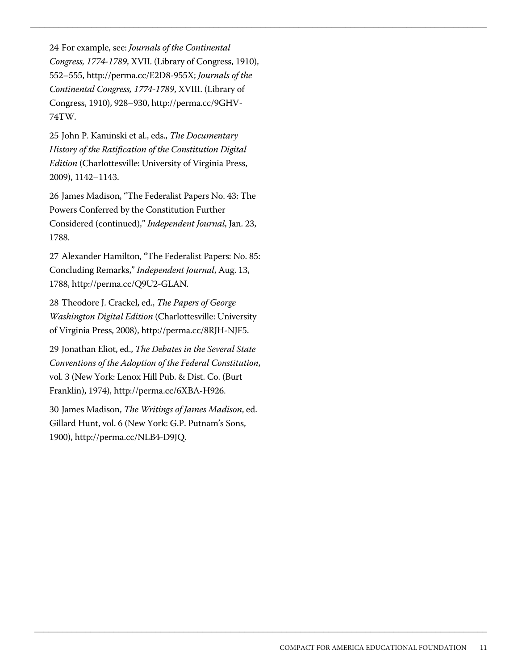24 For example, see: *Journals of the Continental Congress, 1774-1789*, XVII. (Library of Congress, 1910), 552–555, http://perma.cc/E2D8-955X; *Journals of the Continental Congress, 1774-1789*, XVIII. (Library of Congress, 1910), 928–930, http://perma.cc/9GHV-74TW.

 $\Box$  . The contribution of the contribution of the contribution of the contribution of the contribution of the contribution of the contribution of the contribution of the contribution of the contribution of the contributi

 $\_$  , and the set of the set of the set of the set of the set of the set of the set of the set of the set of the set of the set of the set of the set of the set of the set of the set of the set of the set of the set of th

25 John P. Kaminski et al., eds., *The Documentary History of the Ratification of the Constitution Digital Edition* (Charlottesville: University of Virginia Press, 2009), 1142–1143.

26 James Madison, "The Federalist Papers No. 43: The Powers Conferred by the Constitution Further Considered (continued)," *Independent Journal*, Jan. 23, 1788.

27 Alexander Hamilton, "The Federalist Papers: No. 85: Concluding Remarks," *Independent Journal*, Aug. 13, 1788, http://perma.cc/Q9U2-GLAN.

28 Theodore J. Crackel, ed., *The Papers of George Washington Digital Edition* (Charlottesville: University of Virginia Press, 2008), http://perma.cc/8RJH-NJF5.

29 Jonathan Eliot, ed., *The Debates in the Several State Conventions of the Adoption of the Federal Constitution*, vol. 3 (New York: Lenox Hill Pub. & Dist. Co. (Burt Franklin), 1974), http://perma.cc/6XBA-H926.

30 James Madison, *The Writings of James Madison*, ed. Gillard Hunt, vol. 6 (New York: G.P. Putnam's Sons, 1900), http://perma.cc/NLB4-D9JQ.